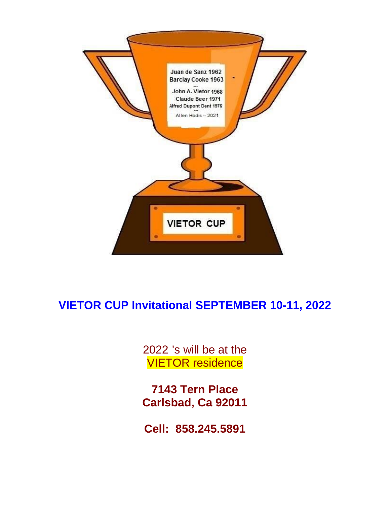

## **VIETOR CUP Invitational SEPTEMBER 10-11, 2022**

2022 's will be at the VIETOR residence

**7143 Tern Place Carlsbad, Ca 92011**

**Cell: 858.245.5891**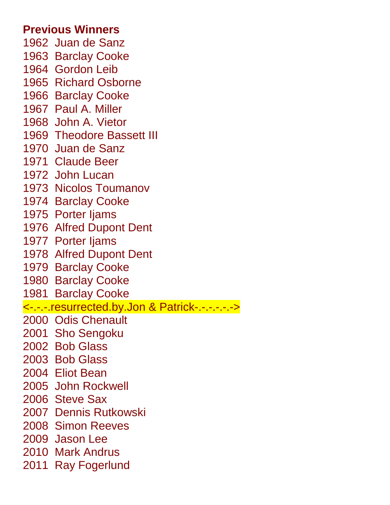### **Previous Winners**

- 1962 Juan de Sanz 1963 Barclay Cooke 1964 Gordon Leib 1965 Richard Osborne 1966 Barclay Cooke 1967 Paul A. Miller 1968 John A. Vietor 1969 Theodore Bassett III 1970 Juan de Sanz 1971 Claude Beer 1972 John Lucan 1973 Nicolos Toumanov 1974 Barclay Cooke 1975 Porter Ijams 1976 Alfred Dupont Dent 1977 Porter Ijams 1978 Alfred Dupont Dent 1979 Barclay Cooke 1980 Barclay Cooke 1981 Barclay Cooke <-.-.-.resurrected.by.Jon & Patrick-.-.-.-.-.-> 2000 Odis Chenault 2001 Sho Sengoku 2002 Bob Glass 2003 Bob Glass 2004 Eliot Bean 2005 John Rockwell 2006 Steve Sax 2007 Dennis Rutkowski 2008 Simon Reeves 2009 Jason Lee 2010 Mark Andrus
- 2011 Ray Fogerlund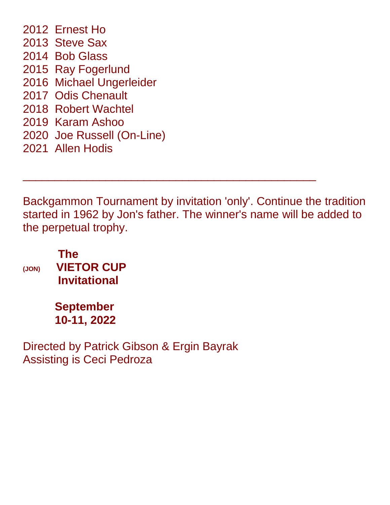2012 Ernest Ho 2013 Steve Sax 2014 Bob Glass 2015 Ray Fogerlund 2016 Michael Ungerleider 2017 Odis Chenault 2018 Robert Wachtel 2019 Karam Ashoo 2020 Joe Russell (On-Line) 2021 Allen Hodis

Backgammon Tournament by invitation 'only'. Continue the tradition started in 1962 by Jon's father. The winner's name will be added to the perpetual trophy.

\_\_\_\_\_\_\_\_\_\_\_\_\_\_\_\_\_\_\_\_\_\_\_\_\_\_\_\_\_\_\_\_\_\_\_\_\_\_\_\_\_\_\_\_\_\_

 **The (JON) VIETOR CUP Invitational** 

> **September 10-11, 2022**

Directed by Patrick Gibson & Ergin Bayrak Assisting is Ceci Pedroza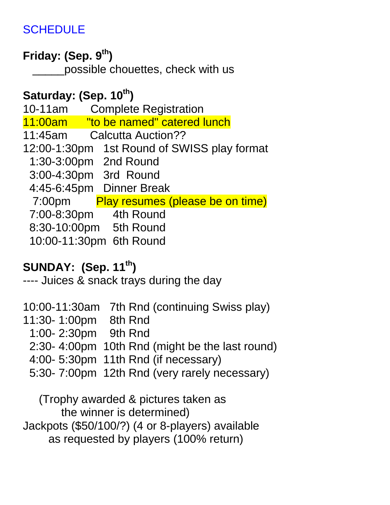## **SCHEDULE**

## **Friday: (Sep. 9 th)**

possible chouettes, check with us

## **Saturday: (Sep. 10 th)**

10-11am Complete Registration 11:00am "to be named" catered lunch 11:45am Calcutta Auction?? 12:00-1:30pm 1st Round of SWISS play format 1:30-3:00pm 2nd Round 3:00-4:30pm 3rd Round 4:45-6:45pm Dinner Break 7:00pm Play resumes (please be on time) 7:00-8:30pm 4th Round 8:30-10:00pm 5th Round 10:00-11:30pm 6th Round

## **SUNDAY: (Sep. 11 th)**

---- Juices & snack trays during the day

10:00-11:30am 7th Rnd (continuing Swiss play) 11:30- 1:00pm 8th Rnd 1:00- 2:30pm 9th Rnd 2:30- 4:00pm 10th Rnd (might be the last round) 4:00- 5:30pm 11th Rnd (if necessary) 5:30- 7:00pm 12th Rnd (very rarely necessary)

 (Trophy awarded & pictures taken as the winner is determined) Jackpots (\$50/100/?) (4 or 8-players) available as requested by players (100% return)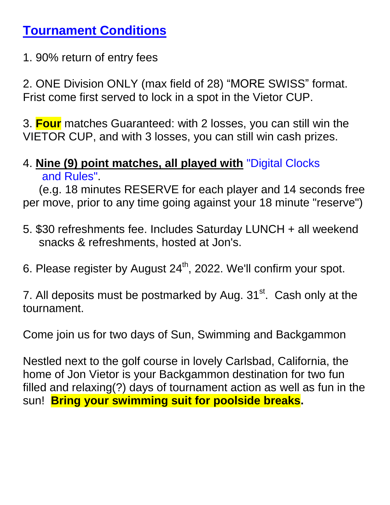## **Tournament Conditions**

1. 90% return of entry fees

2. ONE Division ONLY (max field of 28) "MORE SWISS" format. Frist come first served to lock in a spot in the Vietor CUP.

3. **Four** matches Guaranteed: with 2 losses, you can still win the VIETOR CUP, and with 3 losses, you can still win cash prizes.

## 4. **Nine (9) point matches, all played with** "Digital Clocks and Rules".

 (e.g. 18 minutes RESERVE for each player and 14 seconds free per move, prior to any time going against your 18 minute "reserve")

- 5. \$30 refreshments fee. Includes Saturday LUNCH + all weekend snacks & refreshments, hosted at Jon's.
- 6. Please register by August  $24<sup>th</sup>$ , 2022. We'll confirm your spot.

7. All deposits must be postmarked by Aug.  $31<sup>st</sup>$ . Cash only at the tournament.

Come join us for two days of Sun, Swimming and Backgammon

Nestled next to the golf course in lovely Carlsbad, California, the home of Jon Vietor is your Backgammon destination for two fun filled and relaxing(?) days of tournament action as well as fun in the sun! **Bring your swimming suit for poolside breaks.**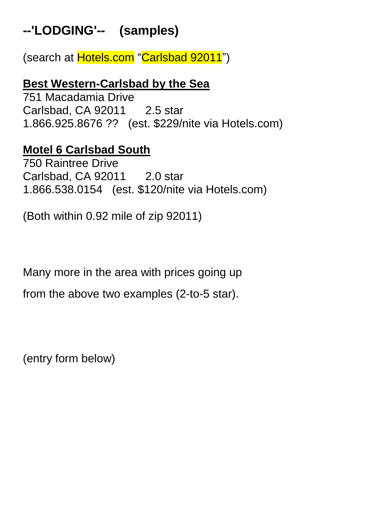# **--'LODGING'-- (samples)**

(search at Hotels.com "Carlsbad 92011")

### **Best Western-Carlsbad by the Sea**

751 Macadamia Drive Carlsbad, CA 92011 2.5 star 1.866.925.8676 ?? (est. \$229/nite via Hotels.com)

### **Motel 6 Carlsbad South**

750 Raintree Drive Carlsbad, CA 92011 2.0 star 1.866.538.0154 (est. \$120/nite via Hotels.com)

(Both within 0.92 mile of zip 92011)

Many more in the area with prices going up

from the above two examples (2-to-5 star).

(entry form below)